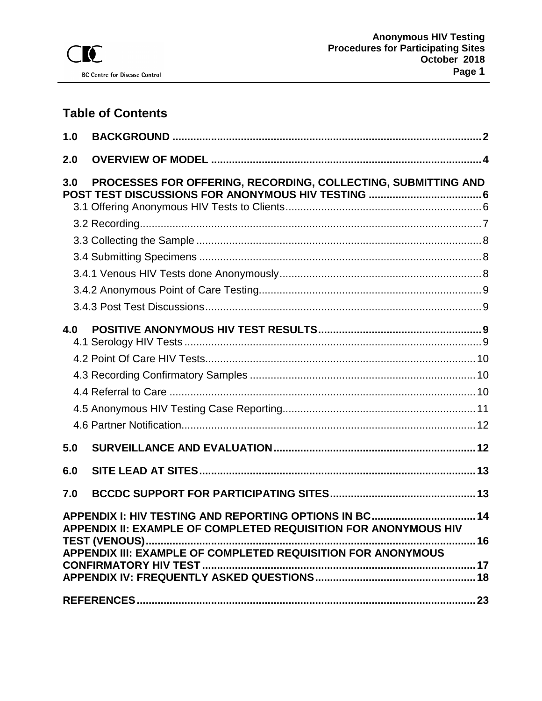# **Table of Contents**

| 1.0 |                                                                                                                                                    |  |
|-----|----------------------------------------------------------------------------------------------------------------------------------------------------|--|
| 2.0 |                                                                                                                                                    |  |
| 3.0 | PROCESSES FOR OFFERING, RECORDING, COLLECTING, SUBMITTING AND                                                                                      |  |
|     |                                                                                                                                                    |  |
|     |                                                                                                                                                    |  |
|     |                                                                                                                                                    |  |
|     |                                                                                                                                                    |  |
|     |                                                                                                                                                    |  |
|     |                                                                                                                                                    |  |
|     |                                                                                                                                                    |  |
| 4.0 |                                                                                                                                                    |  |
|     |                                                                                                                                                    |  |
|     |                                                                                                                                                    |  |
|     |                                                                                                                                                    |  |
|     |                                                                                                                                                    |  |
|     |                                                                                                                                                    |  |
| 5.0 |                                                                                                                                                    |  |
| 6.0 |                                                                                                                                                    |  |
| 7.0 |                                                                                                                                                    |  |
|     | APPENDIX I: HIV TESTING AND REPORTING OPTIONS IN BC 14<br>APPENDIX II: EXAMPLE OF COMPLETED REQUISITION FOR ANONYMOUS HIV<br>TEST (VENOUS)<br>. 16 |  |
|     | APPENDIX III: EXAMPLE OF COMPLETED REQUISITION FOR ANONYMOUS                                                                                       |  |
|     |                                                                                                                                                    |  |
|     |                                                                                                                                                    |  |
|     |                                                                                                                                                    |  |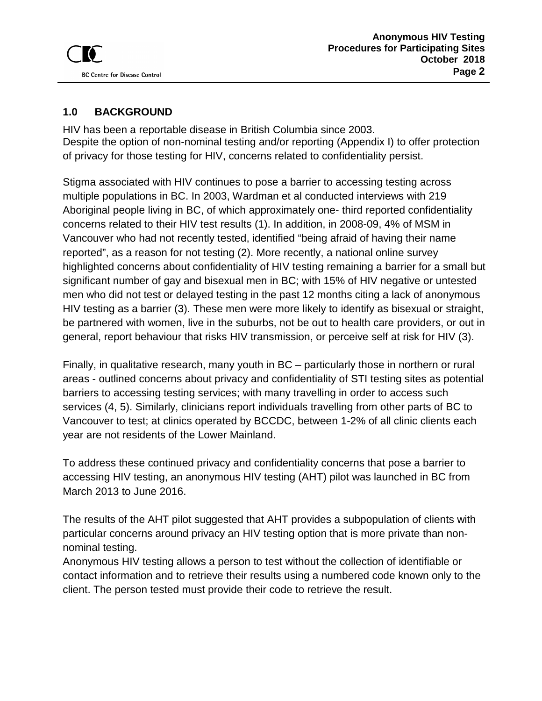## <span id="page-1-0"></span>**1.0 BACKGROUND**

HIV has been a reportable disease in British Columbia since 2003. Despite the option of non-nominal testing and/or reporting (Appendix I) to offer protection of privacy for those testing for HIV, concerns related to confidentiality persist.

Stigma associated with HIV continues to pose a barrier to accessing testing across multiple populations in BC. In 2003, Wardman et al conducted interviews with 219 Aboriginal people living in BC, of which approximately one- third reported confidentiality concerns related to their HIV test results (1). In addition, in 2008-09, 4% of MSM in Vancouver who had not recently tested, identified "being afraid of having their name reported", as a reason for not testing (2). More recently, a national online survey highlighted concerns about confidentiality of HIV testing remaining a barrier for a small but significant number of gay and bisexual men in BC; with 15% of HIV negative or untested men who did not test or delayed testing in the past 12 months citing a lack of anonymous HIV testing as a barrier (3). These men were more likely to identify as bisexual or straight, be partnered with women, live in the suburbs, not be out to health care providers, or out in general, report behaviour that risks HIV transmission, or perceive self at risk for HIV (3).

Finally, in qualitative research, many youth in BC – particularly those in northern or rural areas - outlined concerns about privacy and confidentiality of STI testing sites as potential barriers to accessing testing services; with many travelling in order to access such services (4, 5). Similarly, clinicians report individuals travelling from other parts of BC to Vancouver to test; at clinics operated by BCCDC, between 1-2% of all clinic clients each year are not residents of the Lower Mainland.

To address these continued privacy and confidentiality concerns that pose a barrier to accessing HIV testing, an anonymous HIV testing (AHT) pilot was launched in BC from March 2013 to June 2016.

The results of the AHT pilot suggested that AHT provides a subpopulation of clients with particular concerns around privacy an HIV testing option that is more private than nonnominal testing.

Anonymous HIV testing allows a person to test without the collection of identifiable or contact information and to retrieve their results using a numbered code known only to the client. The person tested must provide their code to retrieve the result.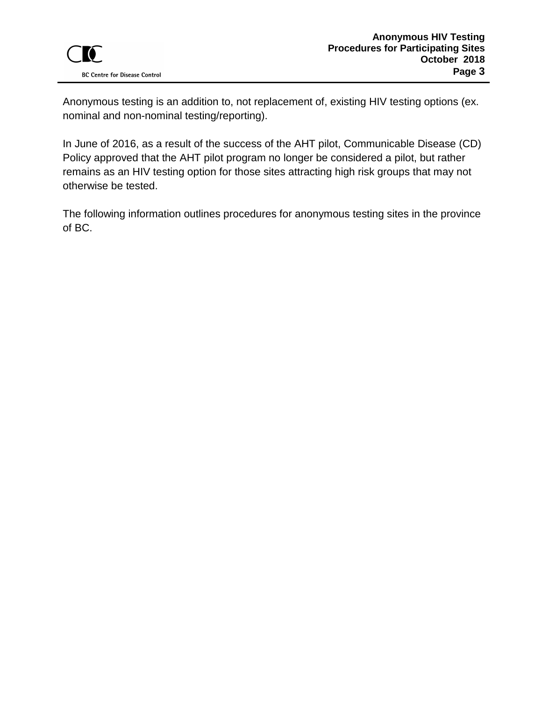Anonymous testing is an addition to, not replacement of, existing HIV testing options (ex. nominal and non-nominal testing/reporting).

In June of 2016, as a result of the success of the AHT pilot, Communicable Disease (CD) Policy approved that the AHT pilot program no longer be considered a pilot, but rather remains as an HIV testing option for those sites attracting high risk groups that may not otherwise be tested.

The following information outlines procedures for anonymous testing sites in the province of BC.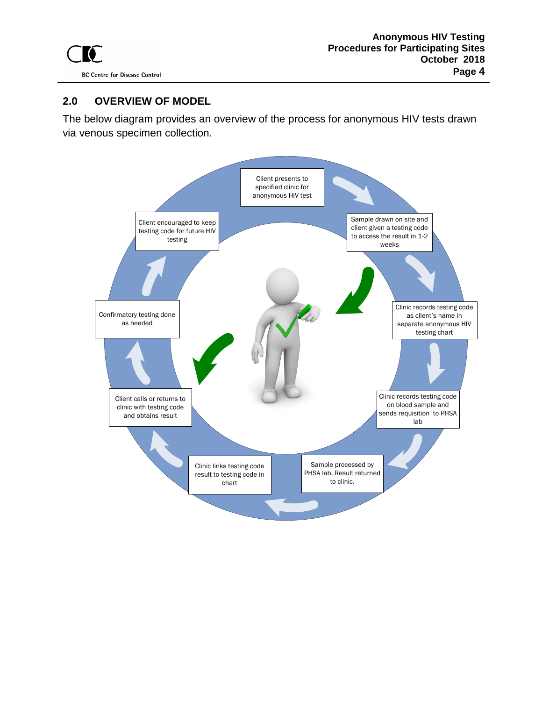### <span id="page-3-0"></span>**2.0 OVERVIEW OF MODEL**

The below diagram provides an overview of the process for anonymous HIV tests drawn via venous specimen collection.

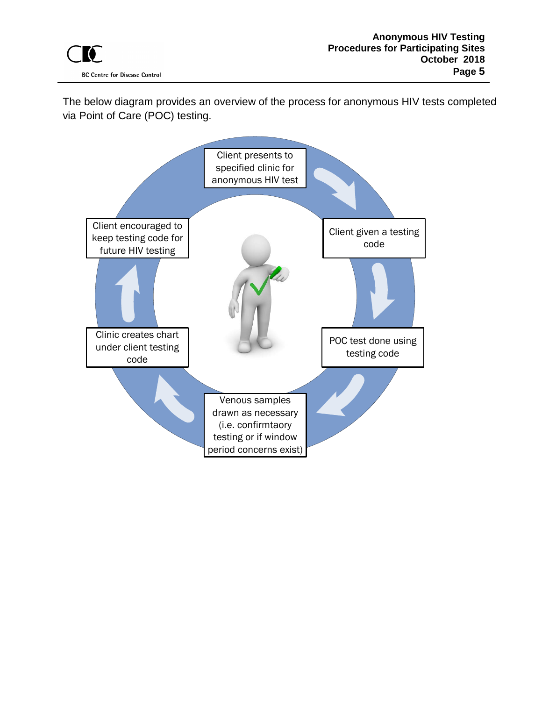The below diagram provides an overview of the process for anonymous HIV tests completed via Point of Care (POC) testing.

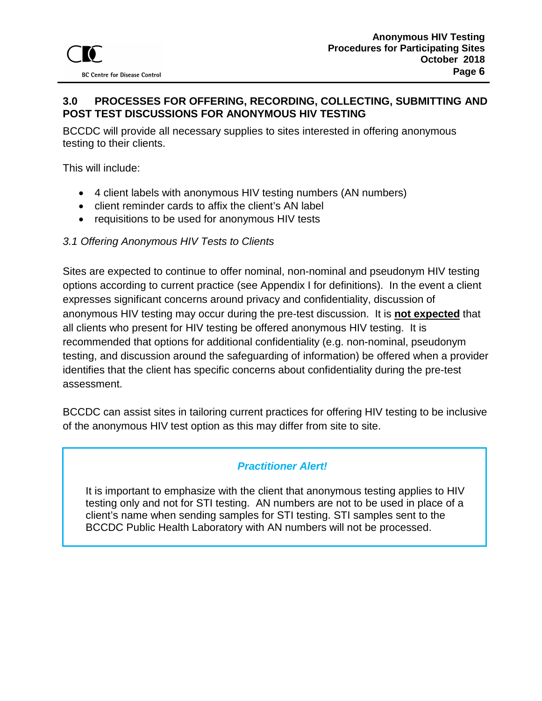### <span id="page-5-0"></span>**3.0 PROCESSES FOR OFFERING, RECORDING, COLLECTING, SUBMITTING AND POST TEST DISCUSSIONS FOR ANONYMOUS HIV TESTING**

BCCDC will provide all necessary supplies to sites interested in offering anonymous testing to their clients.

This will include:

- 4 client labels with anonymous HIV testing numbers (AN numbers)
- client reminder cards to affix the client's AN label
- requisitions to be used for anonymous HIV tests

#### <span id="page-5-1"></span>*3.1 Offering Anonymous HIV Tests to Clients*

Sites are expected to continue to offer nominal, non-nominal and pseudonym HIV testing options according to current practice (see Appendix I for definitions). In the event a client expresses significant concerns around privacy and confidentiality, discussion of anonymous HIV testing may occur during the pre-test discussion. It is **not expected** that all clients who present for HIV testing be offered anonymous HIV testing. It is recommended that options for additional confidentiality (e.g. non-nominal, pseudonym testing, and discussion around the safeguarding of information) be offered when a provider identifies that the client has specific concerns about confidentiality during the pre-test assessment.

BCCDC can assist sites in tailoring current practices for offering HIV testing to be inclusive of the anonymous HIV test option as this may differ from site to site.

### *Practitioner Alert!*

It is important to emphasize with the client that anonymous testing applies to HIV testing only and not for STI testing. AN numbers are not to be used in place of a client's name when sending samples for STI testing. STI samples sent to the BCCDC Public Health Laboratory with AN numbers will not be processed.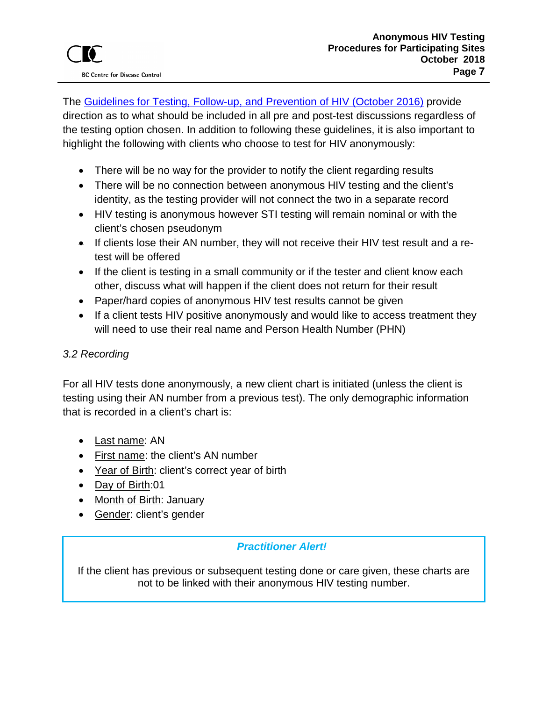The [Guidelines for Testing, Follow-up, and Prevention of HIV \(October 2016\)](http://www.bccdc.ca/resource-gallery/Documents/Communicable-Disease-Manual/Chapter%205%20-%20STI/HIV_Guidelines_Testing_FollowUp_Prevention.pdf) provide direction as to what should be included in all pre and post-test discussions regardless of the testing option chosen. In addition to following these guidelines, it is also important to highlight the following with clients who choose to test for HIV anonymously:

- There will be no way for the provider to notify the client regarding results
- There will be no connection between anonymous HIV testing and the client's identity, as the testing provider will not connect the two in a separate record
- HIV testing is anonymous however STI testing will remain nominal or with the client's chosen pseudonym
- If clients lose their AN number, they will not receive their HIV test result and a retest will be offered
- If the client is testing in a small community or if the tester and client know each other, discuss what will happen if the client does not return for their result
- Paper/hard copies of anonymous HIV test results cannot be given
- If a client tests HIV positive anonymously and would like to access treatment they will need to use their real name and Person Health Number (PHN)

## <span id="page-6-0"></span>*3.2 Recording*

For all HIV tests done anonymously, a new client chart is initiated (unless the client is testing using their AN number from a previous test). The only demographic information that is recorded in a client's chart is:

- Last name: AN
- First name: the client's AN number
- Year of Birth: client's correct year of birth
- Day of Birth:01
- Month of Birth: January
- Gender: client's gender

## *Practitioner Alert!*

If the client has previous or subsequent testing done or care given, these charts are not to be linked with their anonymous HIV testing number.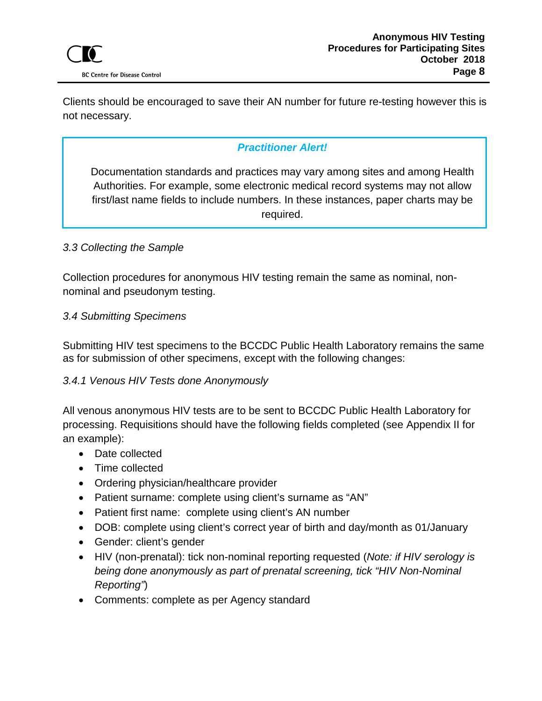Clients should be encouraged to save their AN number for future re-testing however this is not necessary.

## *Practitioner Alert!*

Documentation standards and practices may vary among sites and among Health Authorities. For example, some electronic medical record systems may not allow first/last name fields to include numbers. In these instances, paper charts may be required.

#### <span id="page-7-0"></span>*3.3 Collecting the Sample*

Collection procedures for anonymous HIV testing remain the same as nominal, nonnominal and pseudonym testing.

#### <span id="page-7-1"></span>*3.4 Submitting Specimens*

Submitting HIV test specimens to the BCCDC Public Health Laboratory remains the same as for submission of other specimens, except with the following changes:

#### <span id="page-7-2"></span>*3.4.1 Venous HIV Tests done Anonymously*

All venous anonymous HIV tests are to be sent to BCCDC Public Health Laboratory for processing. Requisitions should have the following fields completed (see Appendix II for an example):

- Date collected
- Time collected
- Ordering physician/healthcare provider
- Patient surname: complete using client's surname as "AN"
- Patient first name: complete using client's AN number
- DOB: complete using client's correct year of birth and day/month as 01/January
- Gender: client's gender
- HIV (non-prenatal): tick non-nominal reporting requested (*Note: if HIV serology is being done anonymously as part of prenatal screening, tick "HIV Non-Nominal Reporting"*)
- Comments: complete as per Agency standard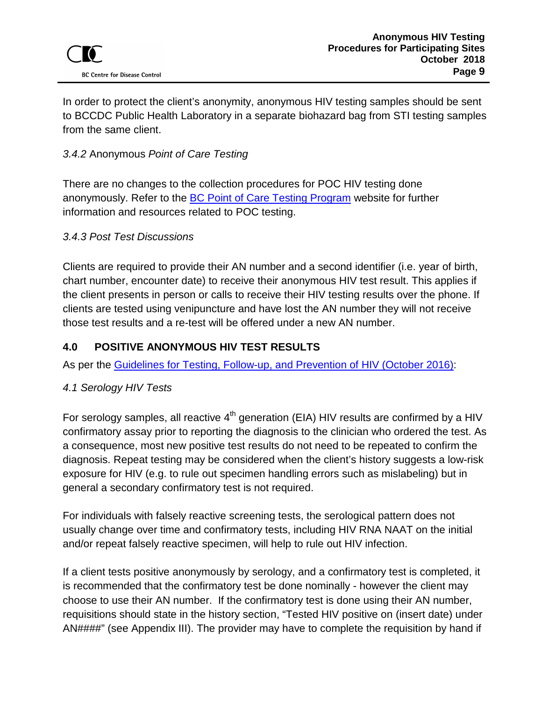In order to protect the client's anonymity, anonymous HIV testing samples should be sent to BCCDC Public Health Laboratory in a separate biohazard bag from STI testing samples from the same client.

## <span id="page-8-0"></span>*3.4.2* Anonymous *Point of Care Testing*

There are no changes to the collection procedures for POC HIV testing done anonymously. Refer to the [BC Point of Care Testing Program](http://www.bccdc.ca/our-services/programs/point-of-care-rapid-hiv-testing) website for further information and resources related to POC testing.

## <span id="page-8-1"></span>*3.4.3 Post Test Discussions*

Clients are required to provide their AN number and a second identifier (i.e. year of birth, chart number, encounter date) to receive their anonymous HIV test result. This applies if the client presents in person or calls to receive their HIV testing results over the phone. If clients are tested using venipuncture and have lost the AN number they will not receive those test results and a re-test will be offered under a new AN number.

### <span id="page-8-2"></span>**4.0 POSITIVE ANONYMOUS HIV TEST RESULTS**

As per the [Guidelines for Testing, Follow-up, and Prevention of HIV \(October 2016\):](http://www.bccdc.ca/resource-gallery/Documents/Communicable-Disease-Manual/Chapter%205%20-%20STI/HIV_Guidelines_Testing_FollowUp_Prevention.pdf)

## <span id="page-8-3"></span>*4.1 Serology HIV Tests*

For serology samples, all reactive  $4<sup>th</sup>$  generation (EIA) HIV results are confirmed by a HIV confirmatory assay prior to reporting the diagnosis to the clinician who ordered the test. As a consequence, most new positive test results do not need to be repeated to confirm the diagnosis. Repeat testing may be considered when the client's history suggests a low-risk exposure for HIV (e.g. to rule out specimen handling errors such as mislabeling) but in general a secondary confirmatory test is not required.

For individuals with falsely reactive screening tests, the serological pattern does not usually change over time and confirmatory tests, including HIV RNA NAAT on the initial and/or repeat falsely reactive specimen, will help to rule out HIV infection.

If a client tests positive anonymously by serology, and a confirmatory test is completed, it is recommended that the confirmatory test be done nominally - however the client may choose to use their AN number. If the confirmatory test is done using their AN number, requisitions should state in the history section, "Tested HIV positive on (insert date) under AN####" (see Appendix III). The provider may have to complete the requisition by hand if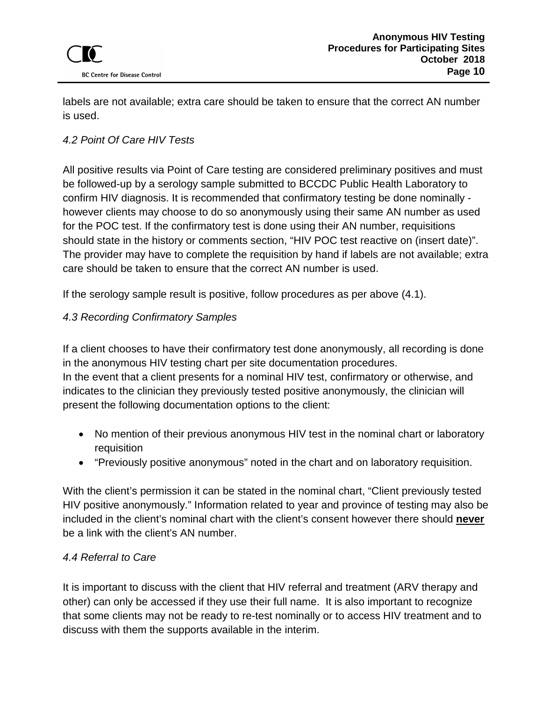labels are not available; extra care should be taken to ensure that the correct AN number is used.

## <span id="page-9-0"></span>*4.2 Point Of Care HIV Tests*

All positive results via Point of Care testing are considered preliminary positives and must be followed-up by a serology sample submitted to BCCDC Public Health Laboratory to confirm HIV diagnosis. It is recommended that confirmatory testing be done nominally however clients may choose to do so anonymously using their same AN number as used for the POC test. If the confirmatory test is done using their AN number, requisitions should state in the history or comments section, "HIV POC test reactive on (insert date)". The provider may have to complete the requisition by hand if labels are not available; extra care should be taken to ensure that the correct AN number is used.

If the serology sample result is positive, follow procedures as per above (4.1).

## <span id="page-9-1"></span>*4.3 Recording Confirmatory Samples*

If a client chooses to have their confirmatory test done anonymously, all recording is done in the anonymous HIV testing chart per site documentation procedures. In the event that a client presents for a nominal HIV test, confirmatory or otherwise, and indicates to the clinician they previously tested positive anonymously, the clinician will present the following documentation options to the client:

- No mention of their previous anonymous HIV test in the nominal chart or laboratory requisition
- "Previously positive anonymous" noted in the chart and on laboratory requisition.

With the client's permission it can be stated in the nominal chart, "Client previously tested HIV positive anonymously." Information related to year and province of testing may also be included in the client's nominal chart with the client's consent however there should **never** be a link with the client's AN number.

## <span id="page-9-2"></span>*4.4 Referral to Care*

It is important to discuss with the client that HIV referral and treatment (ARV therapy and other) can only be accessed if they use their full name. It is also important to recognize that some clients may not be ready to re-test nominally or to access HIV treatment and to discuss with them the supports available in the interim.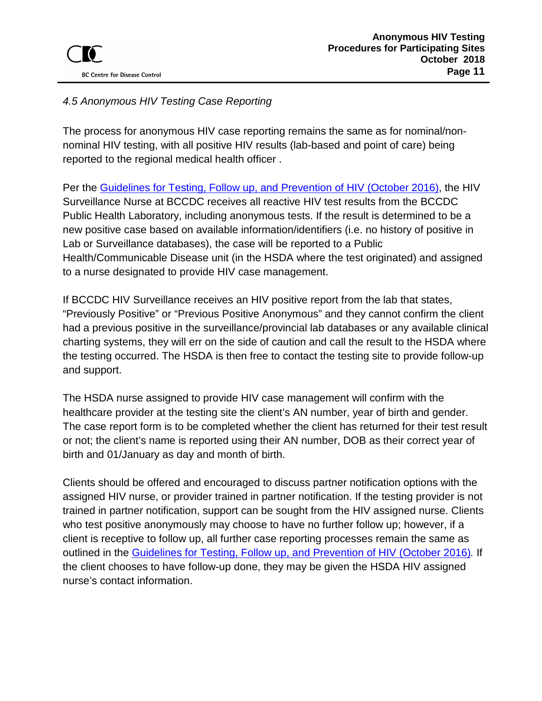## <span id="page-10-0"></span>*4.5 Anonymous HIV Testing Case Reporting*

The process for anonymous HIV case reporting remains the same as for nominal/nonnominal HIV testing, with all positive HIV results (lab-based and point of care) being reported to the regional medical health officer .

Per the [Guidelines for Testing, Follow up, and Prevention of HIV \(October 2016\),](http://www.bccdc.ca/resource-gallery/Documents/Communicable-Disease-Manual/Chapter%205%20-%20STI/HIV_Guidelines_Testing_FollowUp_Prevention.pdf) the HIV Surveillance Nurse at BCCDC receives all reactive HIV test results from the BCCDC Public Health Laboratory, including anonymous tests. If the result is determined to be a new positive case based on available information/identifiers (i.e. no history of positive in Lab or Surveillance databases), the case will be reported to a Public Health/Communicable Disease unit (in the HSDA where the test originated) and assigned to a nurse designated to provide HIV case management.

If BCCDC HIV Surveillance receives an HIV positive report from the lab that states, "Previously Positive" or "Previous Positive Anonymous" and they cannot confirm the client had a previous positive in the surveillance/provincial lab databases or any available clinical charting systems, they will err on the side of caution and call the result to the HSDA where the testing occurred. The HSDA is then free to contact the testing site to provide follow-up and support.

The HSDA nurse assigned to provide HIV case management will confirm with the healthcare provider at the testing site the client's AN number, year of birth and gender. The case report form is to be completed whether the client has returned for their test result or not; the client's name is reported using their AN number, DOB as their correct year of birth and 01/January as day and month of birth.

Clients should be offered and encouraged to discuss partner notification options with the assigned HIV nurse, or provider trained in partner notification. If the testing provider is not trained in partner notification, support can be sought from the HIV assigned nurse. Clients who test positive anonymously may choose to have no further follow up; however, if a client is receptive to follow up, all further case reporting processes remain the same as outlined in the [Guidelines for Testing, Follow up, and Prevention of HIV \(October 2016\)](http://www.bccdc.ca/resource-gallery/Documents/Communicable-Disease-Manual/Chapter%205%20-%20STI/HIV_Guidelines_Testing_FollowUp_Prevention.pdf)*.* If the client chooses to have follow-up done, they may be given the HSDA HIV assigned nurse's contact information.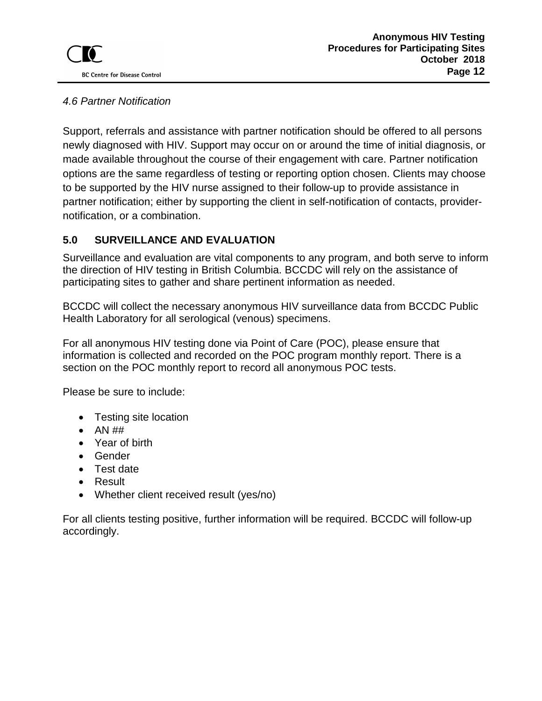### <span id="page-11-0"></span>*4.6 Partner Notification*

Support, referrals and assistance with partner notification should be offered to all persons newly diagnosed with HIV. Support may occur on or around the time of initial diagnosis, or made available throughout the course of their engagement with care. Partner notification options are the same regardless of testing or reporting option chosen. Clients may choose to be supported by the HIV nurse assigned to their follow-up to provide assistance in partner notification; either by supporting the client in self-notification of contacts, providernotification, or a combination.

## <span id="page-11-1"></span>**5.0 SURVEILLANCE AND EVALUATION**

Surveillance and evaluation are vital components to any program, and both serve to inform the direction of HIV testing in British Columbia. BCCDC will rely on the assistance of participating sites to gather and share pertinent information as needed.

BCCDC will collect the necessary anonymous HIV surveillance data from BCCDC Public Health Laboratory for all serological (venous) specimens.

For all anonymous HIV testing done via Point of Care (POC), please ensure that information is collected and recorded on the POC program monthly report. There is a section on the POC monthly report to record all anonymous POC tests.

Please be sure to include:

- Testing site location
- $\bullet$  AN  $\#$ #
- Year of birth
- Gender
- Test date
- Result
- Whether client received result (yes/no)

For all clients testing positive, further information will be required. BCCDC will follow-up accordingly.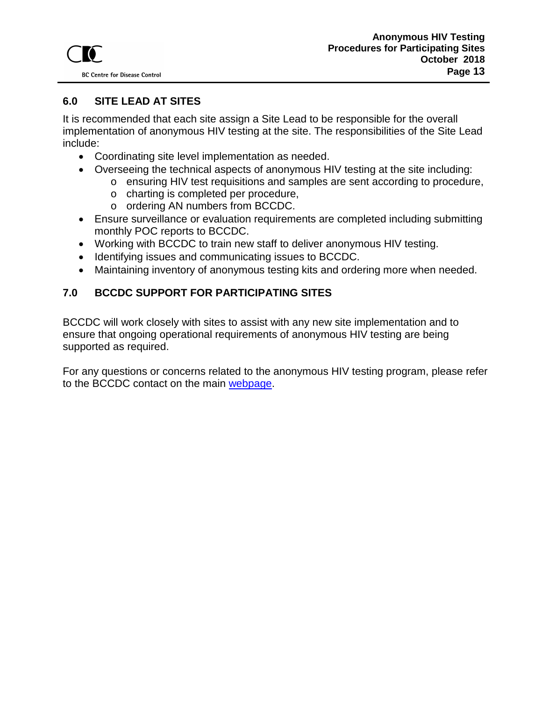

## <span id="page-12-0"></span>**6.0 SITE LEAD AT SITES**

It is recommended that each site assign a Site Lead to be responsible for the overall implementation of anonymous HIV testing at the site. The responsibilities of the Site Lead include:

- Coordinating site level implementation as needed.
- Overseeing the technical aspects of anonymous HIV testing at the site including:
	- o ensuring HIV test requisitions and samples are sent according to procedure,
	- o charting is completed per procedure,
	- o ordering AN numbers from BCCDC.
- Ensure surveillance or evaluation requirements are completed including submitting monthly POC reports to BCCDC.
- Working with BCCDC to train new staff to deliver anonymous HIV testing.
- Identifying issues and communicating issues to BCCDC.
- Maintaining inventory of anonymous testing kits and ordering more when needed.

### <span id="page-12-1"></span>**7.0 BCCDC SUPPORT FOR PARTICIPATING SITES**

BCCDC will work closely with sites to assist with any new site implementation and to ensure that ongoing operational requirements of anonymous HIV testing are being supported as required.

For any questions or concerns related to the anonymous HIV testing program, please refer to the BCCDC contact on the main [webpage.](http://www.bccdc.ca/our-services/programs/anonymous-hiv-testing)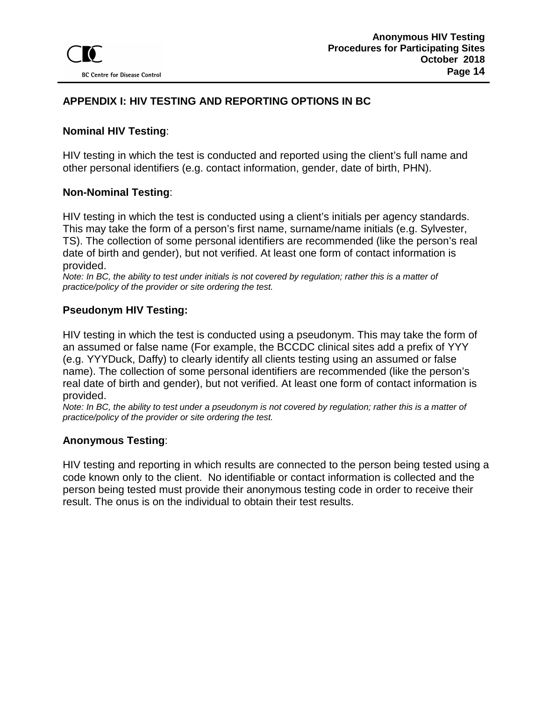### <span id="page-13-0"></span>**APPENDIX I: HIV TESTING AND REPORTING OPTIONS IN BC**

#### **Nominal HIV Testing**:

HIV testing in which the test is conducted and reported using the client's full name and other personal identifiers (e.g. contact information, gender, date of birth, PHN).

#### **Non-Nominal Testing**:

HIV testing in which the test is conducted using a client's initials per agency standards. This may take the form of a person's first name, surname/name initials (e.g. Sylvester, TS). The collection of some personal identifiers are recommended (like the person's real date of birth and gender), but not verified. At least one form of contact information is provided.

*Note: In BC, the ability to test under initials is not covered by regulation; rather this is a matter of practice/policy of the provider or site ordering the test.* 

### **Pseudonym HIV Testing:**

HIV testing in which the test is conducted using a pseudonym. This may take the form of an assumed or false name (For example, the BCCDC clinical sites add a prefix of YYY (e.g. YYYDuck, Daffy) to clearly identify all clients testing using an assumed or false name). The collection of some personal identifiers are recommended (like the person's real date of birth and gender), but not verified. At least one form of contact information is provided.

*Note: In BC, the ability to test under a pseudonym is not covered by regulation; rather this is a matter of practice/policy of the provider or site ordering the test.* 

#### **Anonymous Testing**:

HIV testing and reporting in which results are connected to the person being tested using a code known only to the client. No identifiable or contact information is collected and the person being tested must provide their anonymous testing code in order to receive their result. The onus is on the individual to obtain their test results.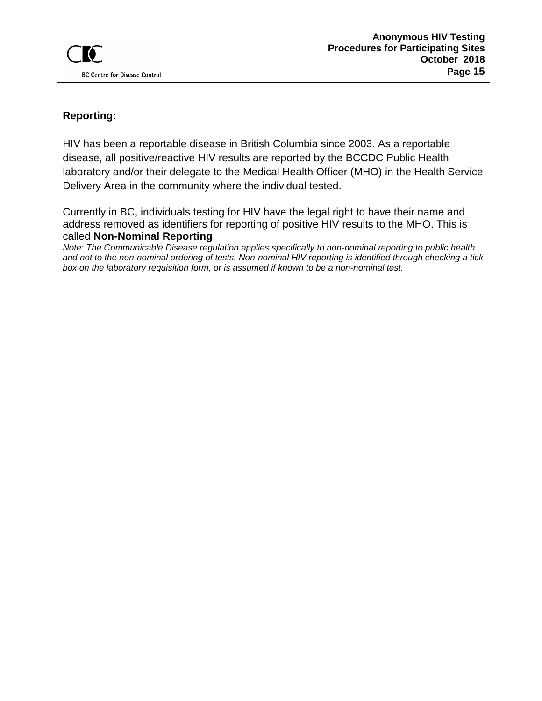## **Reporting:**

HIV has been a reportable disease in British Columbia since 2003. As a reportable disease, all positive/reactive HIV results are reported by the BCCDC Public Health laboratory and/or their delegate to the Medical Health Officer (MHO) in the Health Service Delivery Area in the community where the individual tested.

Currently in BC, individuals testing for HIV have the legal right to have their name and address removed as identifiers for reporting of positive HIV results to the MHO. This is called **Non-Nominal Reporting**.

*Note: The Communicable Disease regulation applies specifically to non-nominal reporting to public health and not to the non-nominal ordering of tests. Non-nominal HIV reporting is identified through checking a tick box on the laboratory requisition form, or is assumed if known to be a non-nominal test.*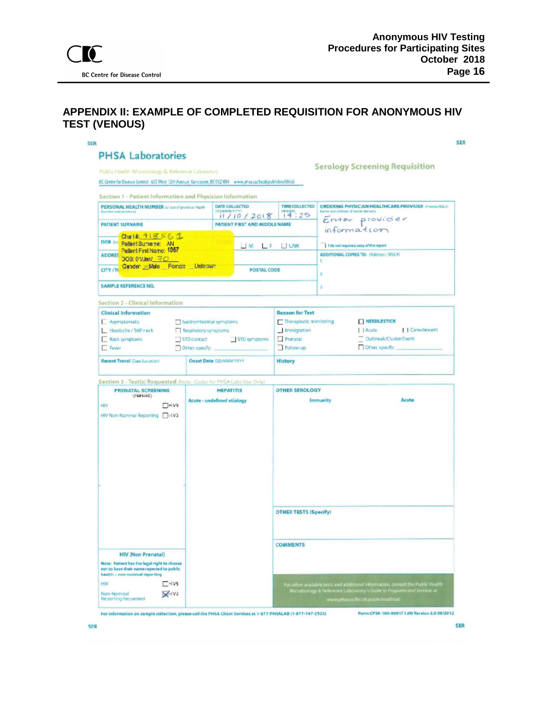### <span id="page-15-0"></span>**APPENDIX II: EXAMPLE OF COMPLETED REQUISITION FOR ANONYMOUS HIV TEST (VENOUS)**

| Public Health Microbiology & Reference Laboratory<br>BC Centre for Disease Control, 655 West 12th Avenue, Vancouver, BCV524R4 www.phsa.ca/bookpublicheshhelt |                                                       |                                                                                |                       |                                                                                                                              | <b>Serology Screening Requisition</b>                                                         |  |  |
|--------------------------------------------------------------------------------------------------------------------------------------------------------------|-------------------------------------------------------|--------------------------------------------------------------------------------|-----------------------|------------------------------------------------------------------------------------------------------------------------------|-----------------------------------------------------------------------------------------------|--|--|
| Section 1 - Patient Information and Physician Information                                                                                                    |                                                       |                                                                                |                       |                                                                                                                              |                                                                                               |  |  |
| PERSONAL HEALTH NUMBER to out of province Health<br>Number and provinced                                                                                     | DATE COLLECTED<br>EDO MANAGERY<br>11/10/2018          | 14.25                                                                          | <b>TIME COLLECTED</b> | ORDERING PHYSICIAN/HEALTHCARE PROVIDER (Provid MSCF)<br>Kame and address of sencet delivery<br>Enter provider<br>information |                                                                                               |  |  |
| <b>PATIENT SURNAME</b>                                                                                                                                       |                                                       | PATIENT FIRST AND MIDDLE NAME                                                  |                       |                                                                                                                              |                                                                                               |  |  |
| Charl# 41856 1<br>DOB of Patient Sumarie: AN<br>Petient First Name: 1057                                                                                     |                                                       | $-M E$                                                                         | <b>LI UNK</b>         |                                                                                                                              | I do not require a copy of the report                                                         |  |  |
| <b>ADDRES</b><br>DOB: 01/Jan/ 70<br>Gender Male Fornale Unknown                                                                                              |                                                       |                                                                                |                       | T.                                                                                                                           | ADDITIONAL CORES TO: (Address / MSC#)                                                         |  |  |
| <b>CITY/TO</b>                                                                                                                                               |                                                       | <b>POSTAL CODE</b>                                                             |                       | $\mathbf{z}$                                                                                                                 |                                                                                               |  |  |
| SAMPLE REFERENCE NO.                                                                                                                                         |                                                       |                                                                                |                       | x                                                                                                                            |                                                                                               |  |  |
| Section 2 - Clinical Information                                                                                                                             |                                                       |                                                                                |                       |                                                                                                                              |                                                                                               |  |  |
| <b>Clinical Information</b><br>E Asymptomatic<br>Headache / Stilf reck<br>Rash symptoms<br>STD contact<br>Fever<br>Other, specify:                           | Gastrointestinal symptoms<br>Respiratory symptoms     | <b>Reason for Test</b><br>Immigration<br>Prenatal<br>STD symptoms<br>Follow-up |                       | Therapeutic monitoring                                                                                                       | <b>NEEDLESTICK</b><br>    Convalescent<br>I Acute<br>Outbreak/Cluster/Event<br>Other specify: |  |  |
| Onset Date DD/MMM/2000<br>Recent Travel (Oxio/Location)                                                                                                      | <b>History</b>                                        |                                                                                |                       |                                                                                                                              |                                                                                               |  |  |
| Section 3 - Test(s) Requested (Note: Codes for PHSA Labs Use Only)                                                                                           |                                                       |                                                                                |                       |                                                                                                                              |                                                                                               |  |  |
| <b>PRENATAL SCREENING</b><br>(PRENAI)<br><b>THV3</b><br>HIV<br>HIV Non-Nominal Reporting   H/V3                                                              | <b>HEPATITIS</b><br><b>Acute - undefined etiology</b> |                                                                                | <b>OTHER SEROLOGY</b> | <b>Immunity</b>                                                                                                              | Acute                                                                                         |  |  |
|                                                                                                                                                              |                                                       | <b>OTHER TESTS (Specify)</b>                                                   |                       |                                                                                                                              |                                                                                               |  |  |
|                                                                                                                                                              |                                                       | <b>COMMENTS</b>                                                                |                       |                                                                                                                              |                                                                                               |  |  |
| <b>HIV (Non Prenatal)</b><br>Note: Patient has the legal right to choose<br>not to have their name reported to public                                        |                                                       |                                                                                |                       |                                                                                                                              |                                                                                               |  |  |
| health - non-naminal reporting                                                                                                                               |                                                       |                                                                                |                       |                                                                                                                              |                                                                                               |  |  |

For information on sample collection, please call the PHSA Client Services at 1-877-PHSALAB (1-877-747-2522)

Form CPSE-100-0001F1.00 Version 2.0 09/2012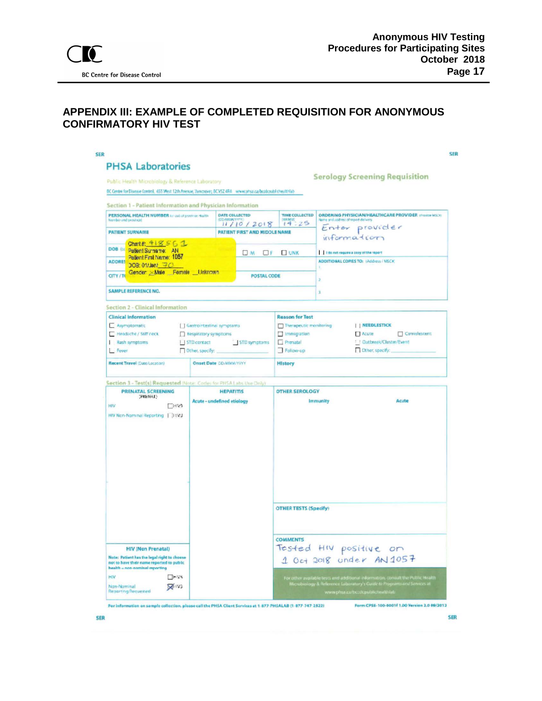### <span id="page-16-0"></span>**APPENDIX III: EXAMPLE OF COMPLETED REQUISITION FOR ANONYMOUS CONFIRMATORY HIV TEST**

| Section 1 - Patient Information and Physician Information                                                                                                | Public Health Microbiology & Reference Laboratory<br>BC Centre for Disease Control, 655 West 12th Avenue, Vancouver, BCV52 4R4 www.atsa.ca/bcolcoubliches/thlab |                                                                                                             |                              |                                                                                                                                                                               | <b>Serology Screening Requisition</b>                                                                        |  |  |  |
|----------------------------------------------------------------------------------------------------------------------------------------------------------|-----------------------------------------------------------------------------------------------------------------------------------------------------------------|-------------------------------------------------------------------------------------------------------------|------------------------------|-------------------------------------------------------------------------------------------------------------------------------------------------------------------------------|--------------------------------------------------------------------------------------------------------------|--|--|--|
| PERSONAL HEALTH NUMBER to get of province Halffit<br>hazerdair and previously                                                                            | DATE COLLECTED                                                                                                                                                  |                                                                                                             | TIME COLLECTED<br>14.25      | <b>ORDERING PHYSICIAN/HEALTHCARE PROVIDER (Frame MSCK)</b><br>lame and address of report delivery<br>Enter provider<br>information<br>1 1 th not require a copy of the report |                                                                                                              |  |  |  |
| <b>PATIENT SURNAME</b>                                                                                                                                   |                                                                                                                                                                 | 11/10/2018<br>PATIENT FIRST AND MIDDLE NAME                                                                 |                              |                                                                                                                                                                               |                                                                                                              |  |  |  |
| Charl# 418561<br>DOB OL Patient Surname: AN<br>Patient First Name: 1057                                                                                  |                                                                                                                                                                 | $\Box$ M $\Box$ F                                                                                           | <b>UNK</b>                   |                                                                                                                                                                               |                                                                                                              |  |  |  |
| <b>ADDRES</b><br>DOB: 01/Jan/ 平凸<br>Gender Male Female Unknown<br>CITY/TO                                                                                |                                                                                                                                                                 | POSTAL CODE                                                                                                 |                              | ADDITIONAL COPIES TO: (Address / NSCA)                                                                                                                                        |                                                                                                              |  |  |  |
| <b>SAMPLE REFERENCE NO.</b>                                                                                                                              |                                                                                                                                                                 |                                                                                                             |                              |                                                                                                                                                                               |                                                                                                              |  |  |  |
| <b>Section 2 - Clinical Information</b>                                                                                                                  |                                                                                                                                                                 |                                                                                                             |                              |                                                                                                                                                                               |                                                                                                              |  |  |  |
| <b>Clinical Information</b><br>Asymptomatic<br>Headache / Stiff neck<br>Rash symptoms<br>Fever<br>Recent Travel (Date/Location)                          | Gastrointestinal symptoms<br>Respiratory symptoms<br>    STD contact<br>Other, specify:<br>Onset Date CO-MWW/11991                                              | <b>Reason for Tost</b><br>[7] Immigration<br><b>Prenatal</b><br>STD symptoms<br>Follow-up<br><b>History</b> |                              | Therapeutic monitoring                                                                                                                                                        | <b>I   NEEDLESTICK</b><br>$\Box$ Acute<br><b>Cunvelescent</b><br>! Cutbreak/Cluster/Event<br>Cther, specify: |  |  |  |
| Section 3 - Test(s) Requested (Note: Code: for PHSALabs Use Only)<br><b>PRENATAL SCREENING</b>                                                           | <b>HEPATITIS</b>                                                                                                                                                |                                                                                                             | <b>DTHER SEROLOGY</b>        |                                                                                                                                                                               |                                                                                                              |  |  |  |
| (FRENAT)<br>HIV<br><b>CHV3</b><br>HIV Non-Nominal Reporting       11V3                                                                                   | Acute - undefined etiology                                                                                                                                      |                                                                                                             | Acute<br>Immunity            |                                                                                                                                                                               |                                                                                                              |  |  |  |
|                                                                                                                                                          |                                                                                                                                                                 |                                                                                                             | <b>OTHER TESTS (Specify)</b> |                                                                                                                                                                               |                                                                                                              |  |  |  |
| <b>HIV (Non Prenatal)</b><br>Note: Patient has the legal right to chosse<br>not to have their name reported to public.<br>health a nen-nominal reporting |                                                                                                                                                                 |                                                                                                             | <b>COMMENTS</b>              |                                                                                                                                                                               | Tested HIV positive on<br>1 Oct 2018 under AN 1057                                                           |  |  |  |

For information on sample collection, please call the PHSA Client Services at 1-877-PHSALAB (1-877-747-2522)

Form CPSE-100-0001f 1.00 Version 2.0 09/2012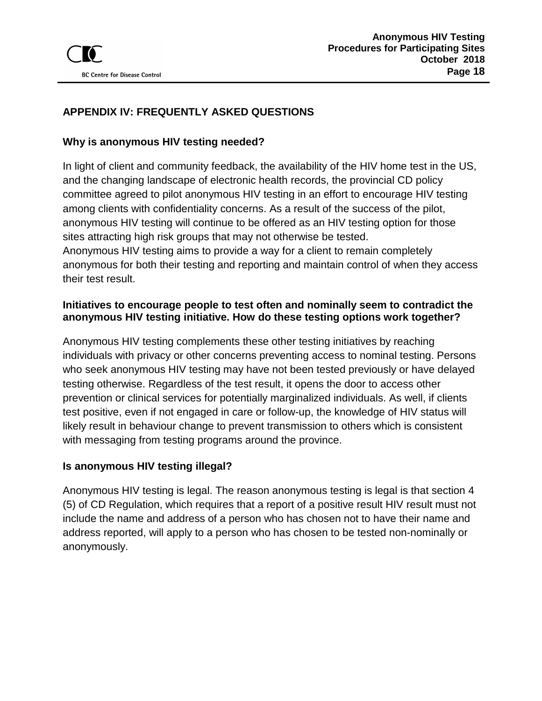## <span id="page-17-0"></span>**APPENDIX IV: FREQUENTLY ASKED QUESTIONS**

### **Why is anonymous HIV testing needed?**

In light of client and community feedback, the availability of the HIV home test in the US, and the changing landscape of electronic health records, the provincial CD policy committee agreed to pilot anonymous HIV testing in an effort to encourage HIV testing among clients with confidentiality concerns. As a result of the success of the pilot, anonymous HIV testing will continue to be offered as an HIV testing option for those sites attracting high risk groups that may not otherwise be tested. Anonymous HIV testing aims to provide a way for a client to remain completely anonymous for both their testing and reporting and maintain control of when they access their test result.

### **Initiatives to encourage people to test often and nominally seem to contradict the anonymous HIV testing initiative. How do these testing options work together?**

Anonymous HIV testing complements these other testing initiatives by reaching individuals with privacy or other concerns preventing access to nominal testing. Persons who seek anonymous HIV testing may have not been tested previously or have delayed testing otherwise. Regardless of the test result, it opens the door to access other prevention or clinical services for potentially marginalized individuals. As well, if clients test positive, even if not engaged in care or follow-up, the knowledge of HIV status will likely result in behaviour change to prevent transmission to others which is consistent with messaging from testing programs around the province.

### **Is anonymous HIV testing illegal?**

Anonymous HIV testing is legal. The reason anonymous testing is legal is that section 4 (5) of CD Regulation, which requires that a report of a positive result HIV result must not include the name and address of a person who has chosen not to have their name and address reported, will apply to a person who has chosen to be tested non-nominally or anonymously.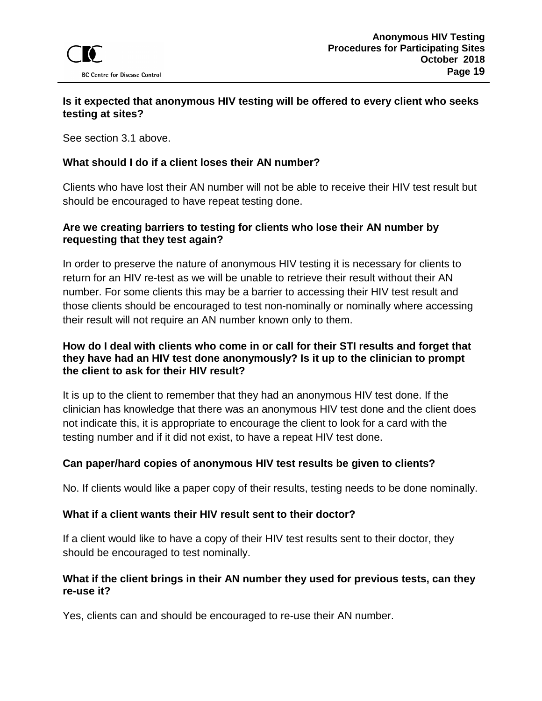### **Is it expected that anonymous HIV testing will be offered to every client who seeks testing at sites?**

See section 3.1 above.

#### **What should I do if a client loses their AN number?**

Clients who have lost their AN number will not be able to receive their HIV test result but should be encouraged to have repeat testing done.

#### **Are we creating barriers to testing for clients who lose their AN number by requesting that they test again?**

In order to preserve the nature of anonymous HIV testing it is necessary for clients to return for an HIV re-test as we will be unable to retrieve their result without their AN number. For some clients this may be a barrier to accessing their HIV test result and those clients should be encouraged to test non-nominally or nominally where accessing their result will not require an AN number known only to them.

#### **How do I deal with clients who come in or call for their STI results and forget that they have had an HIV test done anonymously? Is it up to the clinician to prompt the client to ask for their HIV result?**

It is up to the client to remember that they had an anonymous HIV test done. If the clinician has knowledge that there was an anonymous HIV test done and the client does not indicate this, it is appropriate to encourage the client to look for a card with the testing number and if it did not exist, to have a repeat HIV test done.

### **Can paper/hard copies of anonymous HIV test results be given to clients?**

No. If clients would like a paper copy of their results, testing needs to be done nominally.

#### **What if a client wants their HIV result sent to their doctor?**

If a client would like to have a copy of their HIV test results sent to their doctor, they should be encouraged to test nominally.

#### **What if the client brings in their AN number they used for previous tests, can they re-use it?**

Yes, clients can and should be encouraged to re-use their AN number.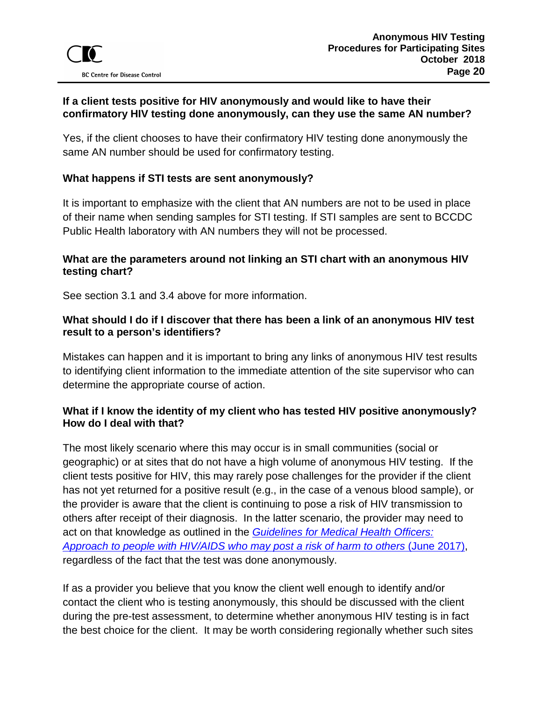### **If a client tests positive for HIV anonymously and would like to have their confirmatory HIV testing done anonymously, can they use the same AN number?**

Yes, if the client chooses to have their confirmatory HIV testing done anonymously the same AN number should be used for confirmatory testing.

### **What happens if STI tests are sent anonymously?**

It is important to emphasize with the client that AN numbers are not to be used in place of their name when sending samples for STI testing. If STI samples are sent to BCCDC Public Health laboratory with AN numbers they will not be processed.

### **What are the parameters around not linking an STI chart with an anonymous HIV testing chart?**

See section 3.1 and 3.4 above for more information.

### **What should I do if I discover that there has been a link of an anonymous HIV test result to a person's identifiers?**

Mistakes can happen and it is important to bring any links of anonymous HIV test results to identifying client information to the immediate attention of the site supervisor who can determine the appropriate course of action.

### **What if I know the identity of my client who has tested HIV positive anonymously? How do I deal with that?**

The most likely scenario where this may occur is in small communities (social or geographic) or at sites that do not have a high volume of anonymous HIV testing. If the client tests positive for HIV, this may rarely pose challenges for the provider if the client has not yet returned for a positive result (e.g., in the case of a venous blood sample), or the provider is aware that the client is continuing to pose a risk of HIV transmission to others after receipt of their diagnosis. In the latter scenario, the provider may need to act on that knowledge as outlined in the *[Guidelines for Medical Health Officers:](http://www.bccdc.ca/resource-gallery/Documents/Communicable-Disease-Manual/Chapter%205%20-%20STI/MHO-guidelines-PLWH-risk-of-transmission.pdf)  [Approach to people with HIV/AIDS who may post a risk of harm to others](http://www.bccdc.ca/resource-gallery/Documents/Communicable-Disease-Manual/Chapter%205%20-%20STI/MHO-guidelines-PLWH-risk-of-transmission.pdf)* (June 2017), regardless of the fact that the test was done anonymously.

If as a provider you believe that you know the client well enough to identify and/or contact the client who is testing anonymously, this should be discussed with the client during the pre-test assessment, to determine whether anonymous HIV testing is in fact the best choice for the client. It may be worth considering regionally whether such sites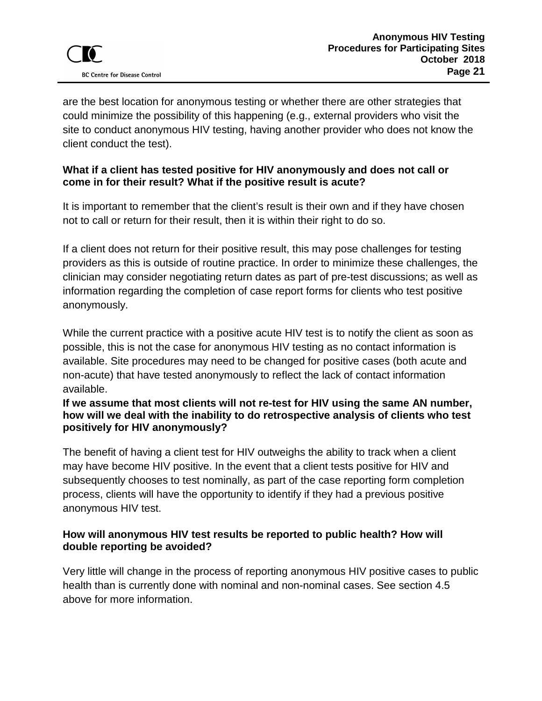are the best location for anonymous testing or whether there are other strategies that could minimize the possibility of this happening (e.g., external providers who visit the site to conduct anonymous HIV testing, having another provider who does not know the client conduct the test).

### **What if a client has tested positive for HIV anonymously and does not call or come in for their result? What if the positive result is acute?**

It is important to remember that the client's result is their own and if they have chosen not to call or return for their result, then it is within their right to do so.

If a client does not return for their positive result, this may pose challenges for testing providers as this is outside of routine practice. In order to minimize these challenges, the clinician may consider negotiating return dates as part of pre-test discussions; as well as information regarding the completion of case report forms for clients who test positive anonymously.

While the current practice with a positive acute HIV test is to notify the client as soon as possible, this is not the case for anonymous HIV testing as no contact information is available. Site procedures may need to be changed for positive cases (both acute and non-acute) that have tested anonymously to reflect the lack of contact information available.

#### **If we assume that most clients will not re-test for HIV using the same AN number, how will we deal with the inability to do retrospective analysis of clients who test positively for HIV anonymously?**

The benefit of having a client test for HIV outweighs the ability to track when a client may have become HIV positive. In the event that a client tests positive for HIV and subsequently chooses to test nominally, as part of the case reporting form completion process, clients will have the opportunity to identify if they had a previous positive anonymous HIV test.

### **How will anonymous HIV test results be reported to public health? How will double reporting be avoided?**

Very little will change in the process of reporting anonymous HIV positive cases to public health than is currently done with nominal and non-nominal cases. See section 4.5 above for more information.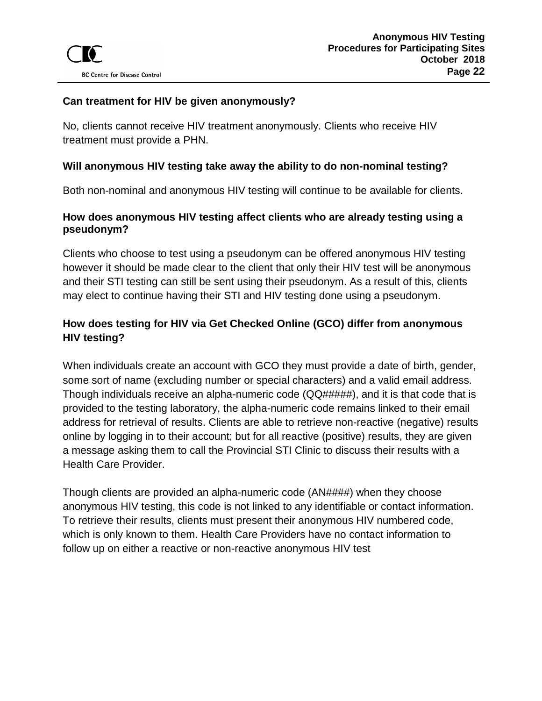### **Can treatment for HIV be given anonymously?**

No, clients cannot receive HIV treatment anonymously. Clients who receive HIV treatment must provide a PHN.

#### **Will anonymous HIV testing take away the ability to do non-nominal testing?**

Both non-nominal and anonymous HIV testing will continue to be available for clients.

### **How does anonymous HIV testing affect clients who are already testing using a pseudonym?**

Clients who choose to test using a pseudonym can be offered anonymous HIV testing however it should be made clear to the client that only their HIV test will be anonymous and their STI testing can still be sent using their pseudonym. As a result of this, clients may elect to continue having their STI and HIV testing done using a pseudonym.

## **How does testing for HIV via Get Checked Online (GCO) differ from anonymous HIV testing?**

When individuals create an account with GCO they must provide a date of birth, gender, some sort of name (excluding number or special characters) and a valid email address. Though individuals receive an alpha-numeric code (QQ#####), and it is that code that is provided to the testing laboratory, the alpha-numeric code remains linked to their email address for retrieval of results. Clients are able to retrieve non-reactive (negative) results online by logging in to their account; but for all reactive (positive) results, they are given a message asking them to call the Provincial STI Clinic to discuss their results with a Health Care Provider.

Though clients are provided an alpha-numeric code (AN####) when they choose anonymous HIV testing, this code is not linked to any identifiable or contact information. To retrieve their results, clients must present their anonymous HIV numbered code, which is only known to them. Health Care Providers have no contact information to follow up on either a reactive or non-reactive anonymous HIV test